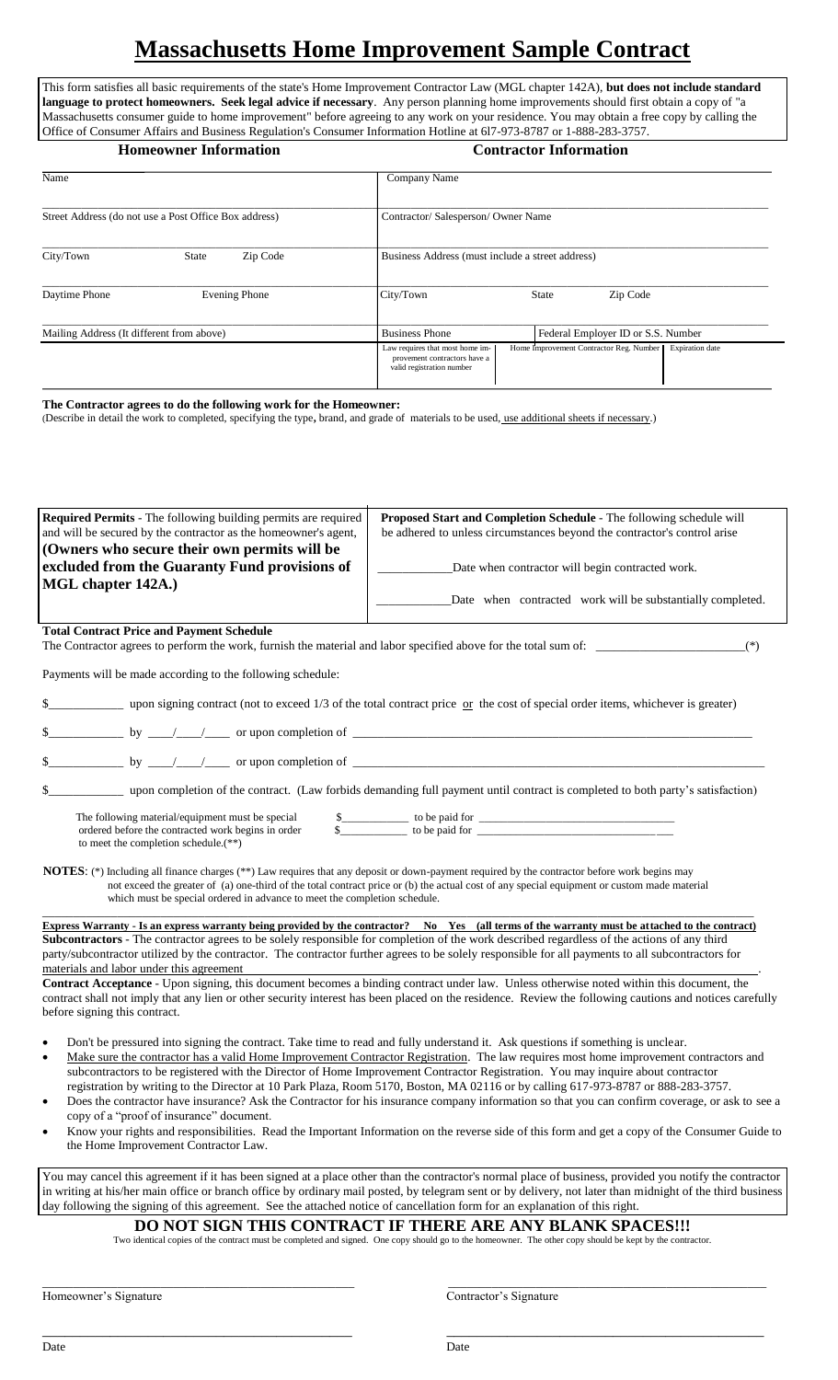# **Massachusetts Home Improvement Sample Contract**

This form satisfies all basic requirements of the state's Home Improvement Contractor Law (MGL chapter 142A), **but does not include standard language to protect homeowners. Seek legal advice if necessary**. Any person planning home improvements should first obtain a copy of "a Massachusetts consumer guide to home improvement" before agreeing to any work on your residence. You may obtain a free copy by calling the Office of Consumer Affairs and Business Regulation's Consumer Information Hotline at 6l7-973-8787 or 1-888-283-3757.

| <b>Homeowner Information</b>                          |                          | <b>Contractor Information</b>                                                                                                                                     |
|-------------------------------------------------------|--------------------------|-------------------------------------------------------------------------------------------------------------------------------------------------------------------|
| Name                                                  |                          | Company Name                                                                                                                                                      |
| Street Address (do not use a Post Office Box address) |                          | Contractor/Salesperson/Owner Name                                                                                                                                 |
| City/Town                                             | <b>State</b><br>Zip Code | Business Address (must include a street address)                                                                                                                  |
| Daytime Phone                                         | <b>Evening Phone</b>     | Zip Code<br>City/Town<br><b>State</b>                                                                                                                             |
| Mailing Address (It different from above)             |                          | Federal Employer ID or S.S. Number<br><b>Business Phone</b>                                                                                                       |
|                                                       |                          | Home Improvement Contractor Reg. Number<br><b>Expiration</b> date<br>Law requires that most home im-<br>provement contractors have a<br>valid registration number |

**The Contractor agrees to do the following work for the Homeowner:**

(Describe in detail the work to completed, specifying the type**,** brand, and grade of materials to be used, use additional sheets if necessary.)

| (Owners who secure their own permits will be<br>excluded from the Guaranty Fund provisions of<br>MGL chapter 142A.)                            |                                                                                                                                                                                                                                                                                                                                                                                                                                |
|------------------------------------------------------------------------------------------------------------------------------------------------|--------------------------------------------------------------------------------------------------------------------------------------------------------------------------------------------------------------------------------------------------------------------------------------------------------------------------------------------------------------------------------------------------------------------------------|
|                                                                                                                                                | Date when contractor will begin contracted work.                                                                                                                                                                                                                                                                                                                                                                               |
|                                                                                                                                                |                                                                                                                                                                                                                                                                                                                                                                                                                                |
|                                                                                                                                                | Date when contracted work will be substantially completed.                                                                                                                                                                                                                                                                                                                                                                     |
| <b>Total Contract Price and Payment Schedule</b>                                                                                               | The Contractor agrees to perform the work, furnish the material and labor specified above for the total sum of:<br>$(*)$                                                                                                                                                                                                                                                                                                       |
| Payments will be made according to the following schedule:                                                                                     |                                                                                                                                                                                                                                                                                                                                                                                                                                |
| \$                                                                                                                                             | upon signing contract (not to exceed $1/3$ of the total contract price or the cost of special order items, whichever is greater)                                                                                                                                                                                                                                                                                               |
|                                                                                                                                                |                                                                                                                                                                                                                                                                                                                                                                                                                                |
|                                                                                                                                                | $\frac{\text{S}}{\text{S}}$ by $\frac{1}{\sqrt{1-\frac{1}{\sqrt{1-\frac{1}{\sqrt{1-\frac{1}{\sqrt{1-\frac{1}{\sqrt{1-\frac{1}{\sqrt{1-\frac{1}{\sqrt{1-\frac{1}{\sqrt{1-\frac{1}{\sqrt{1-\frac{1}{\sqrt{1-\frac{1}{\sqrt{1-\frac{1}{\sqrt{1-\frac{1}{\sqrt{1-\frac{1}{\sqrt{1-\frac{1}{\sqrt{1-\frac{1}{\sqrt{1-\frac{1}{\sqrt{1-\frac{1}{\sqrt{1-\frac{1}{\sqrt{1-\frac{1}{\sqrt{1-\frac{1}{\sqrt{1-\frac{1}{\sqrt{1-\frac{1$ |
|                                                                                                                                                | \$________________ upon completion of the contract. (Law forbids demanding full payment until contract is completed to both party's satisfaction)                                                                                                                                                                                                                                                                              |
| The following material/equipment must be special<br>ordered before the contracted work begins in order<br>to meet the completion schedule.(**) | \$<br><b>NOTES:</b> (*) Including all finance charges (**) Law requires that any deposit or down-payment required by the contractor before work begins may                                                                                                                                                                                                                                                                     |
| which must be special ordered in advance to meet the completion schedule.                                                                      | not exceed the greater of (a) one-third of the total contract price or (b) the actual cost of any special equipment or custom made material                                                                                                                                                                                                                                                                                    |
|                                                                                                                                                | Express Warranty - Is an express warranty being provided by the contractor? No Yes (all terms of the warranty must be attached to the contract)                                                                                                                                                                                                                                                                                |
|                                                                                                                                                | Subcontractors - The contractor agrees to be solely responsible for completion of the work described regardless of the actions of any third<br>party/subcontractor utilized by the contractor. The contractor further agrees to be solely responsible for all payments to all subcontractors for                                                                                                                               |
| materials and labor under this agreement<br>before signing this contract.                                                                      | Contract Acceptance - Upon signing, this document becomes a binding contract under law. Unless otherwise noted within this document, the<br>contract shall not imply that any lien or other security interest has been placed on the residence. Review the following cautions and notices carefully                                                                                                                            |
|                                                                                                                                                | Don't be pressured into signing the contract. Take time to read and fully understand it. Ask questions if something is unclear.                                                                                                                                                                                                                                                                                                |
|                                                                                                                                                | Make sure the contractor has a valid Home Improvement Contractor Registration. The law requires most home improvement contractors and<br>subcontractors to be registered with the Director of Home Improvement Contractor Registration. You may inquire about contractor                                                                                                                                                       |
| copy of a "proof of insurance" document.                                                                                                       | registration by writing to the Director at 10 Park Plaza, Room 5170, Boston, MA 02116 or by calling 617-973-8787 or 888-283-3757.<br>Does the contractor have insurance? Ask the Contractor for his insurance company information so that you can confirm coverage, or ask to see a                                                                                                                                            |

**DO NOT SIGN THIS CONTRACT IF THERE ARE ANY BLANK SPACES!!!**

Two identical copies of the contract must be completed and signed. One copy should go to the homeowner. The other copy should be kept by the contractor.

\_\_\_\_\_\_\_\_\_\_\_\_\_\_\_\_\_\_\_\_\_\_\_\_\_\_\_\_\_\_\_\_\_\_\_\_\_\_\_\_\_\_\_\_\_\_\_\_\_\_ \_\_\_\_\_\_\_\_\_\_\_\_\_\_\_\_\_\_\_\_\_\_\_\_\_\_\_\_\_\_\_\_\_\_\_\_\_\_\_\_\_\_\_\_\_\_\_\_\_\_\_

\_\_\_\_\_\_\_\_\_\_\_\_\_\_\_\_\_\_\_\_\_\_\_\_\_\_\_\_\_\_\_\_\_\_\_\_\_\_\_\_\_ \_\_\_\_\_\_\_\_\_\_\_\_\_\_\_\_\_\_\_\_\_\_\_\_\_\_\_\_\_\_\_\_\_\_\_\_\_\_\_\_\_\_

Homeowner's Signature Contractor's Signature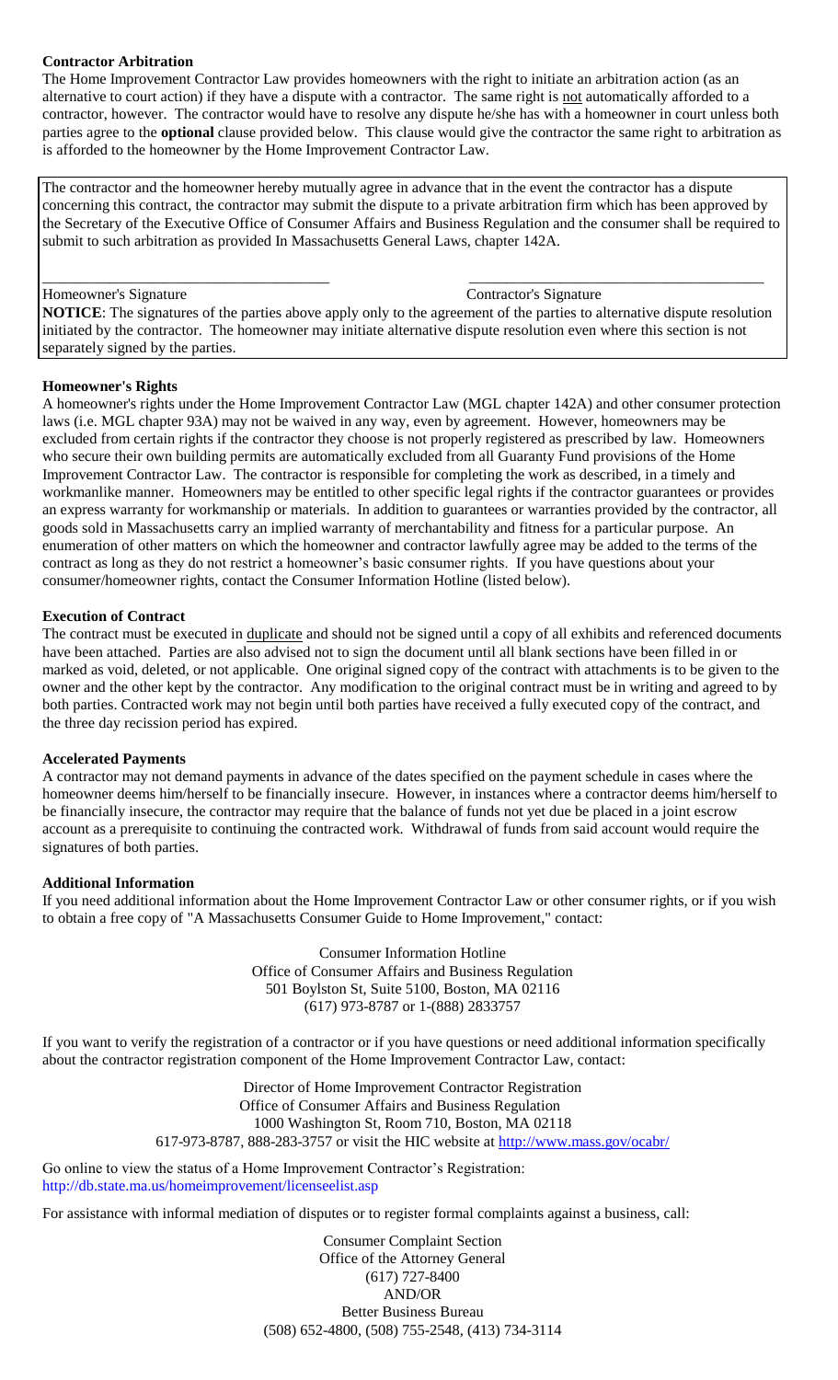## **Contractor Arbitration**

The Home Improvement Contractor Law provides homeowners with the right to initiate an arbitration action (as an alternative to court action) if they have a dispute with a contractor. The same right is not automatically afforded to a contractor, however. The contractor would have to resolve any dispute he/she has with a homeowner in court unless both parties agree to the **optional** clause provided below. This clause would give the contractor the same right to arbitration as is afforded to the homeowner by the Home Improvement Contractor Law.

The contractor and the homeowner hereby mutually agree in advance that in the event the contractor has a dispute concerning this contract, the contractor may submit the dispute to a private arbitration firm which has been approved by the Secretary of the Executive Office of Consumer Affairs and Business Regulation and the consumer shall be required to submit to such arbitration as provided In Massachusetts General Laws, chapter 142A.

#### \_\_\_\_\_\_\_\_\_\_\_\_\_\_\_\_\_\_\_\_\_\_\_\_\_\_\_\_\_\_\_\_\_\_\_\_\_\_ \_\_\_\_\_\_\_\_\_\_\_\_\_\_\_\_\_\_\_\_\_\_\_\_\_\_\_\_\_\_\_\_\_\_\_\_\_\_\_ Homeowner's Signature Contractor's Signature

**NOTICE**: The signatures of the parties above apply only to the agreement of the parties to alternative dispute resolution initiated by the contractor. The homeowner may initiate alternative dispute resolution even where this section is not separately signed by the parties.

#### **Homeowner's Rights**

A homeowner's rights under the Home Improvement Contractor Law (MGL chapter 142A) and other consumer protection laws (i.e. MGL chapter 93A) may not be waived in any way, even by agreement. However, homeowners may be excluded from certain rights if the contractor they choose is not properly registered as prescribed by law. Homeowners who secure their own building permits are automatically excluded from all Guaranty Fund provisions of the Home Improvement Contractor Law. The contractor is responsible for completing the work as described, in a timely and workmanlike manner. Homeowners may be entitled to other specific legal rights if the contractor guarantees or provides an express warranty for workmanship or materials. In addition to guarantees or warranties provided by the contractor, all goods sold in Massachusetts carry an implied warranty of merchantability and fitness for a particular purpose. An enumeration of other matters on which the homeowner and contractor lawfully agree may be added to the terms of the contract as long as they do not restrict a homeowner's basic consumer rights. If you have questions about your consumer/homeowner rights, contact the Consumer Information Hotline (listed below).

### **Execution of Contract**

The contract must be executed in duplicate and should not be signed until a copy of all exhibits and referenced documents have been attached. Parties are also advised not to sign the document until all blank sections have been filled in or marked as void, deleted, or not applicable. One original signed copy of the contract with attachments is to be given to the owner and the other kept by the contractor. Any modification to the original contract must be in writing and agreed to by both parties. Contracted work may not begin until both parties have received a fully executed copy of the contract, and the three day recission period has expired.

### **Accelerated Payments**

A contractor may not demand payments in advance of the dates specified on the payment schedule in cases where the homeowner deems him/herself to be financially insecure. However, in instances where a contractor deems him/herself to be financially insecure, the contractor may require that the balance of funds not yet due be placed in a joint escrow account as a prerequisite to continuing the contracted work. Withdrawal of funds from said account would require the signatures of both parties.

#### **Additional Information**

If you need additional information about the Home Improvement Contractor Law or other consumer rights, or if you wish to obtain a free copy of "A Massachusetts Consumer Guide to Home Improvement," contact:

> Consumer Information Hotline Office of Consumer Affairs and Business Regulation 501 Boylston St, Suite 5100, Boston, MA 02116 (617) 973-8787 or 1-(888) 2833757

If you want to verify the registration of a contractor or if you have questions or need additional information specifically about the contractor registration component of the Home Improvement Contractor Law, contact:

> Director of Home Improvement Contractor Registration Office of Consumer Affairs and Business Regulation 1000 Washington St, Room 710, Boston, MA 02118 617-973-8787, 888-283-3757 or visit the HIC website at<http://www.mass.gov/ocabr/>

Go online to view the status of a Home Improvement Contractor's Registration: http://db.state.ma.us/homeimprovement/licenseelist.asp

For assistance with informal mediation of disputes or to register formal complaints against a business, call:

Consumer Complaint Section Office of the Attorney General (617) 727-8400 AND/OR Better Business Bureau (508) 652-4800, (508) 755-2548, (413) 734-3114